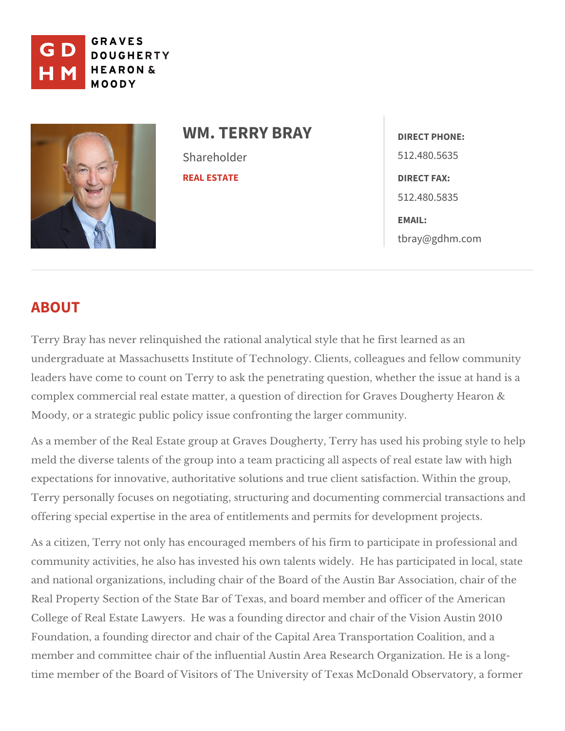

## WM. TERRY BRAY<sub>DIRECT PHONE:</sub> Shareholder [REAL ES](https://www.gdhm.com/practice-areas/real-estate/)TATE 512.480.5635 DIRECT FAX: 512.480.5835 EMAIL: [tbray@gdhm](mailto:tbray@gdhm.com).com

# ABOUT

Terry Bray has never relinquished the rational analytical style that he first I undergraduate at Massachusetts Institute of Technology. Clients, colleagues leaders have come to count on Terry to ask the penetrating question, whethe complex commercial real estate matter, a question of direction for Graves Do Moody, or a strategic public policy issue laogérocomming uthiety.

As a member of the Real Estate group at Graves Dougherty, Terry has used h meld the diverse talents of the group into a team practicing all aspects of re expectations for innovative, authoritative solutions and true client satisfacti Terry personally focuses on negotiating, structuring and documenting comme offering special expertise in the area of entitlem ednetwe anond mpeent mpits jeconts.

As a citizen, Terry not only has encouraged members of his firm to participat community activities, he also has invested his own talents widely. He has pa and national organizations, including chair of the Board of the Austin Bar As Real Property Section of the State Bar of Texas, and board member and offic College of Real Estate Lawyers. He was a founding director and chair of the Foundation, a founding director and chair of the Capital Area Transportation member and committee chair of the influential Austin Area Research Organization. time member of the Board of Visitors of The University of Texas McDonald Ol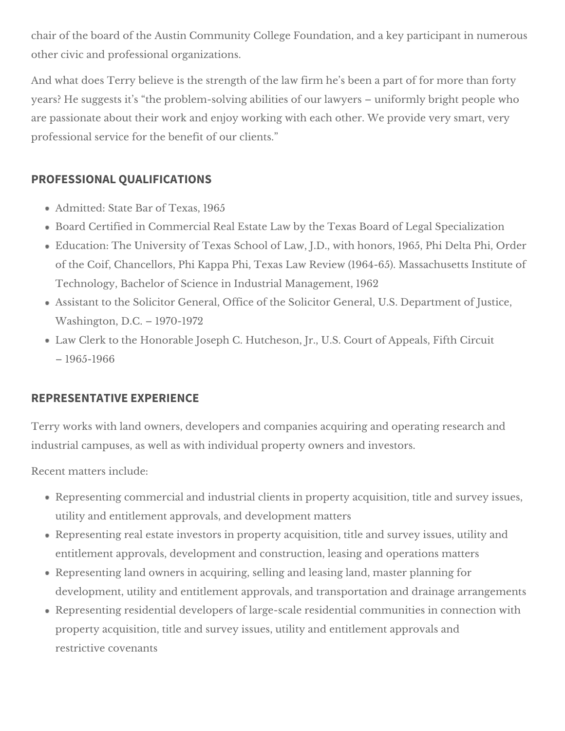chair of the board of the Austin Community College Foundation, and a key participant in numerous other civic and professional organizations.

And what does Terry believe is the strength of the law firm he's been a part of for more than forty years? He suggests it's "the problem-solving abilities of our lawyers – uniformly bright people who are passionate about their work and enjoy working with each other. We provide very smart, very professional service for the benefit of our clients."

### **PROFESSIONAL QUALIFICATIONS**

- Admitted: State Bar of Texas, 1965
- Board Certified in Commercial Real Estate Law by the Texas Board of Legal Specialization
- Education: The University of Texas School of Law, J.D., with honors, 1965, Phi Delta Phi, Order of the Coif, Chancellors, Phi Kappa Phi, Texas Law Review (1964-65). Massachusetts Institute of Technology, Bachelor of Science in Industrial Management, 1962
- Assistant to the Solicitor General, Office of the Solicitor General, U.S. Department of Justice, Washington, D.C. – 1970-1972
- Law Clerk to the Honorable Joseph C. Hutcheson, Jr., U.S. Court of Appeals, Fifth Circuit – 1965-1966

#### **REPRESENTATIVE EXPERIENCE**

Terry works with land owners, developers and companies acquiring and operating research and industrial campuses, as well as with individual property owners and investors.

Recent matters include:

- Representing commercial and industrial clients in property acquisition, title and survey issues, utility and entitlement approvals, and development matters
- Representing real estate investors in property acquisition, title and survey issues, utility and entitlement approvals, development and construction, leasing and operations matters
- Representing land owners in acquiring, selling and leasing land, master planning for development, utility and entitlement approvals, and transportation and drainage arrangements
- Representing residential developers of large-scale residential communities in connection with property acquisition, title and survey issues, utility and entitlement approvals and restrictive covenants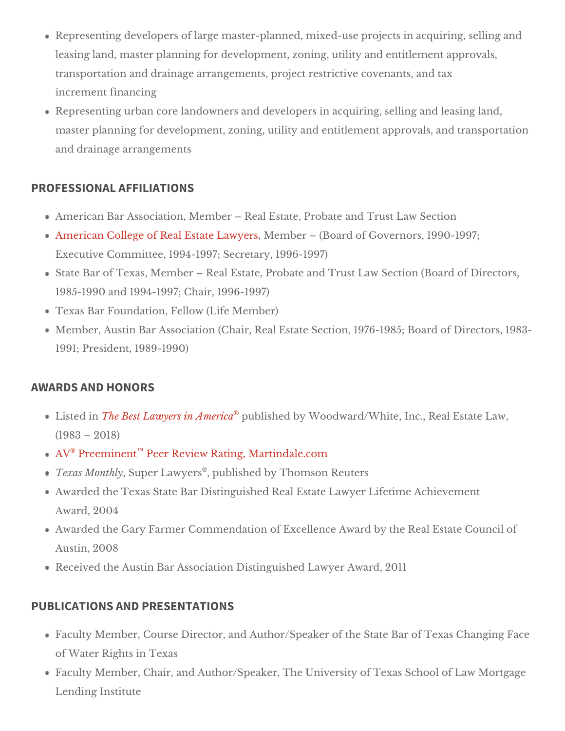Representing developers of large master-planned, mixed-use projects in a leasing land, master planning for development, zoning, utility and entitle transportation and drainage arrangements, project restrictive covenants, increment financing

Representing urban core landowners and developers in acquiring, selling master planning for development, zoning, utility and entitlement approval and drainage arrangements

#### PROFESSIONAL AFFILIATIONS

American Bar Association, Member Real Estate, LParwolb Stade tia Trust [American College of Real Est](http://www.acrel.org/)at Mele Lama boy ers (Board of Governors, 1990-1997; Executive Committee,  $1994e1997$ ;  $1996-1997$ ) State Bar of Texas, Member Real Estate, Probate and Trust Law Section 1985-1990 and 1994h hand  $(9, 7, 1996 - 1997)$ Texas Bar Foundation,  $(Fieel\omega)$  (Let  $\omega$  mber) Member, Austin Bar Association (Chair, Real Estate Section, 1976-918938-5; 1991; President, 1989-1990)

#### AWARDS AND HONORS

Listed The Best Lawyers in Aumbeisthed by Woodward/White, Inc., Real Estate (1983 2018)  $A \vee P$  Preeminen  $P$ eer Review Rating, Martindale.com Texas Montholyper Law<sup>e</sup>yers blished by m son Reuters Awarded the Texas State Bar Distinguished Real Estate Lawyer Lifetime A Award, 2004 Awarded the Gary Farmer Commendation of Excellence Award by the Real Austin, 2008 Received the Austin Bar Association Distin Agwa is be Clawyer

#### PUBLICATIONS AND PRESENTATIONS

Faculty Member, Course Director, and Author/Speaker of the State abar of of Water Right Fexas Faculty Member, Chair, and Author/Speaker, The University of Texas Scho Lending Institute